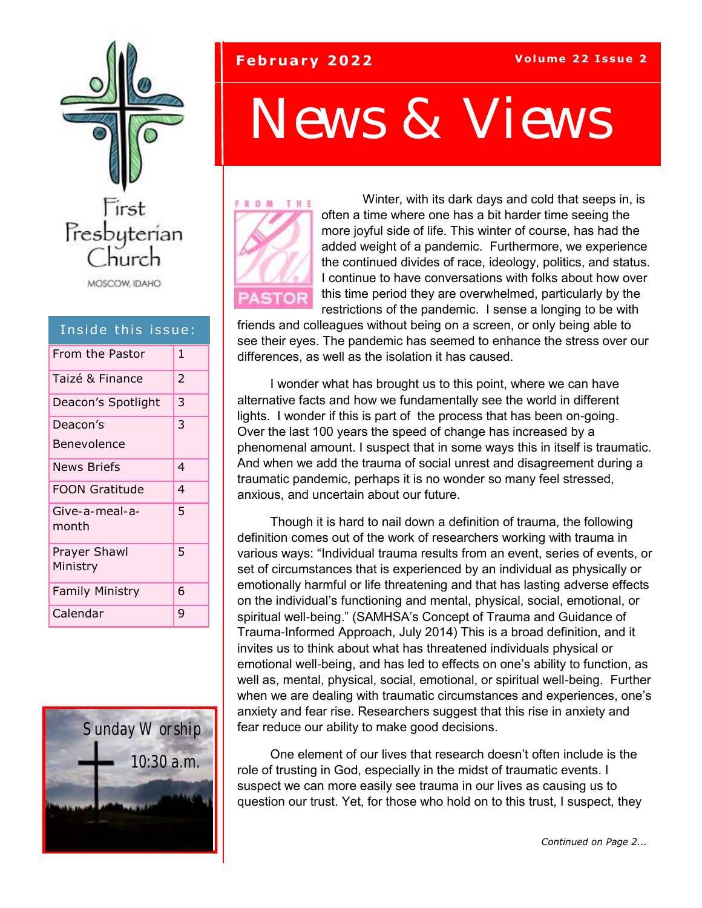

### Inside this issue:

| From the Pastor          | 1 |
|--------------------------|---|
| Taizé & Finance          | 2 |
| Deacon's Spotlight       | 3 |
| Deacon's                 | 3 |
| Benevolence              |   |
| News Briefs              | 4 |
| FOON Gratitude           | 4 |
| Give-a-meal-a-<br>month  | 5 |
| Prayer Shawl<br>Ministry | 5 |
| <b>Family Ministry</b>   | 6 |
| Calendar                 | 9 |



### **February 2022 Volume 22 Issue 2**

# *News & Views*



Winter, with its dark days and cold that seeps in, is often a time where one has a bit harder time seeing the more joyful side of life. This winter of course, has had the added weight of a pandemic. Furthermore, we experience the continued divides of race, ideology, politics, and status. I continue to have conversations with folks about how over this time period they are overwhelmed, particularly by the restrictions of the pandemic. I sense a longing to be with

friends and colleagues without being on a screen, or only being able to see their eyes. The pandemic has seemed to enhance the stress over our differences, as well as the isolation it has caused.

I wonder what has brought us to this point, where we can have alternative facts and how we fundamentally see the world in different lights. I wonder if this is part of the process that has been on-going. Over the last 100 years the speed of change has increased by a phenomenal amount. I suspect that in some ways this in itself is traumatic. And when we add the trauma of social unrest and disagreement during a traumatic pandemic, perhaps it is no wonder so many feel stressed, anxious, and uncertain about our future.

Though it is hard to nail down a definition of trauma, the following definition comes out of the work of researchers working with trauma in various ways: "Individual trauma results from an event, series of events, or set of circumstances that is experienced by an individual as physically or emotionally harmful or life threatening and that has lasting adverse effects on the individual's functioning and mental, physical, social, emotional, or spiritual well-being." (SAMHSA's Concept of Trauma and Guidance of Trauma-Informed Approach, July 2014) This is a broad definition, and it invites us to think about what has threatened individuals physical or emotional well-being, and has led to effects on one's ability to function, as well as, mental, physical, social, emotional, or spiritual well-being. Further when we are dealing with traumatic circumstances and experiences, one's anxiety and fear rise. Researchers suggest that this rise in anxiety and fear reduce our ability to make good decisions.

One element of our lives that research doesn't often include is the role of trusting in God, especially in the midst of traumatic events. I suspect we can more easily see trauma in our lives as causing us to question our trust. Yet, for those who hold on to this trust, I suspect, they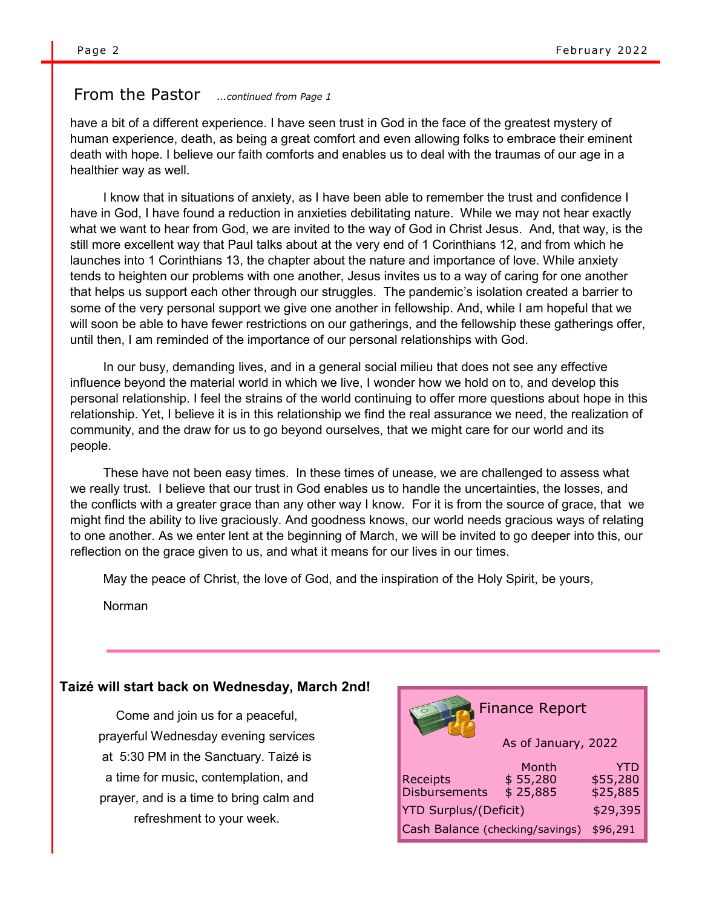### From the Pastor *...continued from Page 1*

have a bit of a different experience. I have seen trust in God in the face of the greatest mystery of human experience, death, as being a great comfort and even allowing folks to embrace their eminent death with hope. I believe our faith comforts and enables us to deal with the traumas of our age in a healthier way as well.

I know that in situations of anxiety, as I have been able to remember the trust and confidence I have in God, I have found a reduction in anxieties debilitating nature. While we may not hear exactly what we want to hear from God, we are invited to the way of God in Christ Jesus. And, that way, is the still more excellent way that Paul talks about at the very end of 1 Corinthians 12, and from which he launches into 1 Corinthians 13, the chapter about the nature and importance of love. While anxiety tends to heighten our problems with one another, Jesus invites us to a way of caring for one another that helps us support each other through our struggles. The pandemic's isolation created a barrier to some of the very personal support we give one another in fellowship. And, while I am hopeful that we will soon be able to have fewer restrictions on our gatherings, and the fellowship these gatherings offer, until then, I am reminded of the importance of our personal relationships with God.

In our busy, demanding lives, and in a general social milieu that does not see any effective influence beyond the material world in which we live, I wonder how we hold on to, and develop this personal relationship. I feel the strains of the world continuing to offer more questions about hope in this relationship. Yet, I believe it is in this relationship we find the real assurance we need, the realization of community, and the draw for us to go beyond ourselves, that we might care for our world and its people.

These have not been easy times. In these times of unease, we are challenged to assess what we really trust. I believe that our trust in God enables us to handle the uncertainties, the losses, and the conflicts with a greater grace than any other way I know. For it is from the source of grace, that we might find the ability to live graciously. And goodness knows, our world needs gracious ways of relating to one another. As we enter lent at the beginning of March, we will be invited to go deeper into this, our reflection on the grace given to us, and what it means for our lives in our times.

May the peace of Christ, the love of God, and the inspiration of the Holy Spirit, be yours,

Norman

#### **Taizé will start back on Wednesday, March 2nd!**

Come and join us for a peaceful, prayerful Wednesday evening services at 5:30 PM in the Sanctuary. Taizé is a time for music, contemplation, and prayer, and is a time to bring calm and refreshment to your week.

| <b>Finance Report</b>                       |                               |                             |  |  |  |  |  |  |
|---------------------------------------------|-------------------------------|-----------------------------|--|--|--|--|--|--|
| As of January, 2022                         |                               |                             |  |  |  |  |  |  |
| Receipts<br><b>Disbursements</b>            | Month<br>\$55,280<br>\$25,885 | YTD<br>\$55,280<br>\$25,885 |  |  |  |  |  |  |
| <b>YTD Surplus/(Deficit)</b>                | \$29,395                      |                             |  |  |  |  |  |  |
| Cash Balance (checking/savings)<br>\$96,291 |                               |                             |  |  |  |  |  |  |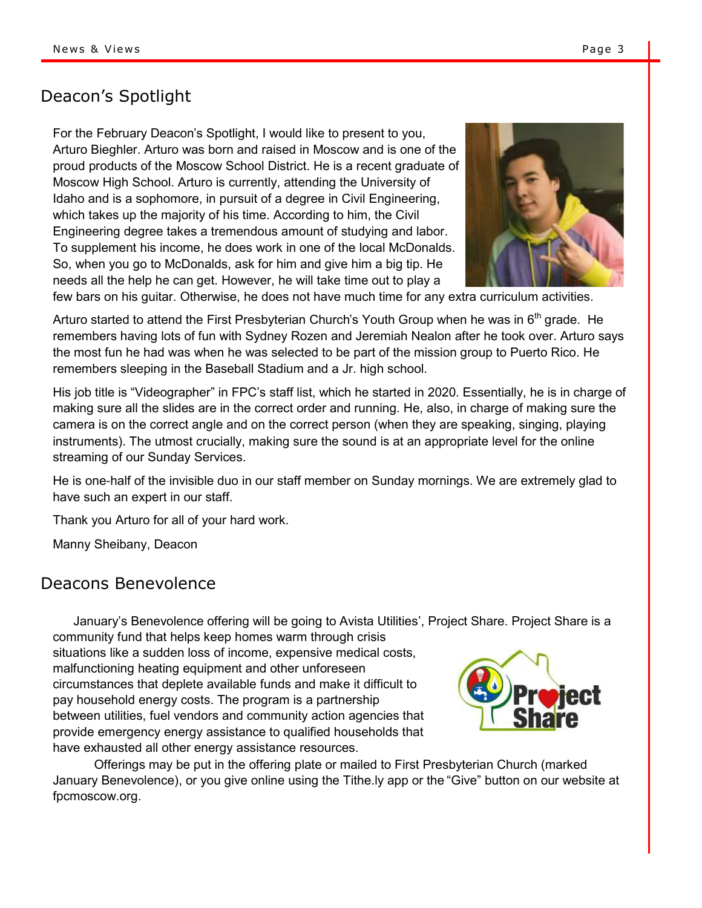# Deacon's Spotlight

For the February Deacon's Spotlight, I would like to present to you, Arturo Bieghler. Arturo was born and raised in Moscow and is one of the proud products of the Moscow School District. He is a recent graduate of Moscow High School. Arturo is currently, attending the University of Idaho and is a sophomore, in pursuit of a degree in Civil Engineering, which takes up the majority of his time. According to him, the Civil Engineering degree takes a tremendous amount of studying and labor. To supplement his income, he does work in one of the local McDonalds. So, when you go to McDonalds, ask for him and give him a big tip. He needs all the help he can get. However, he will take time out to play a



few bars on his guitar. Otherwise, he does not have much time for any extra curriculum activities.

Arturo started to attend the First Presbyterian Church's Youth Group when he was in  $6<sup>th</sup>$  grade. He remembers having lots of fun with Sydney Rozen and Jeremiah Nealon after he took over. Arturo says the most fun he had was when he was selected to be part of the mission group to Puerto Rico. He remembers sleeping in the Baseball Stadium and a Jr. high school.

His job title is "Videographer" in FPC's staff list, which he started in 2020. Essentially, he is in charge of making sure all the slides are in the correct order and running. He, also, in charge of making sure the camera is on the correct angle and on the correct person (when they are speaking, singing, playing instruments). The utmost crucially, making sure the sound is at an appropriate level for the online streaming of our Sunday Services.

He is one-half of the invisible duo in our staff member on Sunday mornings. We are extremely glad to have such an expert in our staff.

Thank you Arturo for all of your hard work.

Manny Sheibany, Deacon

### Deacons Benevolence

January's Benevolence offering will be going to Avista Utilities', Project Share. Project Share is a community fund that helps keep homes warm through crisis

situations like a sudden loss of income, expensive medical costs, malfunctioning heating equipment and other unforeseen circumstances that deplete available funds and make it difficult to pay household energy costs. The program is a partnership between utilities, fuel vendors and community action agencies that provide emergency energy assistance to qualified households that have exhausted all other energy assistance resources.



Offerings may be put in the offering plate or mailed to First Presbyterian Church (marked January Benevolence), or you give online using the Tithe.ly app or the "Give" button on our website at fpcmoscow.org.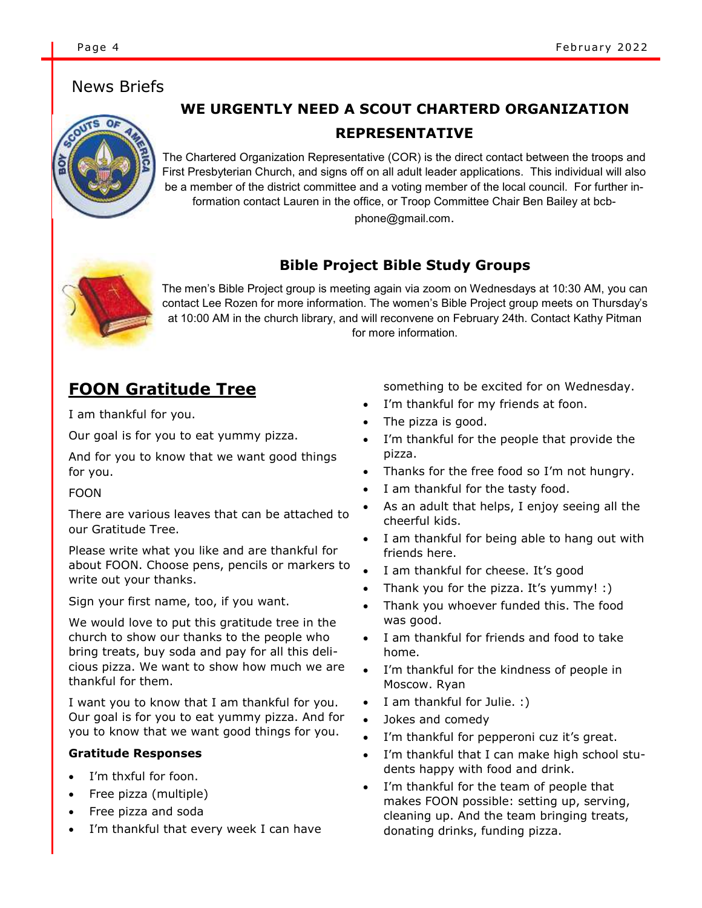## News Briefs



# **WE URGENTLY NEED A SCOUT CHARTERD ORGANIZATION REPRESENTATIVE**

The Chartered Organization Representative (COR) is the direct contact between the troops and First Presbyterian Church, and signs off on all adult leader applications. This individual will also be a member of the district committee and a voting member of the local council. For further information contact Lauren in the office, or Troop Committee Chair Ben Bailey at bcbphone@gmail.com.



## **Bible Project Bible Study Groups**

The men's Bible Project group is meeting again via zoom on Wednesdays at 10:30 AM, you can contact Lee Rozen for more information. The women's Bible Project group meets on Thursday's at 10:00 AM in the church library, and will reconvene on February 24th. Contact Kathy Pitman for more information.

# **FOON Gratitude Tree**

I am thankful for you.

Our goal is for you to eat yummy pizza.

And for you to know that we want good things for you.

#### FOON

There are various leaves that can be attached to our Gratitude Tree.

Please write what you like and are thankful for about FOON. Choose pens, pencils or markers to write out your thanks.

Sign your first name, too, if you want.

We would love to put this gratitude tree in the church to show our thanks to the people who bring treats, buy soda and pay for all this delicious pizza. We want to show how much we are thankful for them.

I want you to know that I am thankful for you. Our goal is for you to eat yummy pizza. And for you to know that we want good things for you.

#### **Gratitude Responses**

- I'm thxful for foon.
- Free pizza (multiple)
- Free pizza and soda
- I'm thankful that every week I can have

something to be excited for on Wednesday.

- I'm thankful for my friends at foon.
- The pizza is good.
- I'm thankful for the people that provide the pizza.
- Thanks for the free food so I'm not hungry.
- I am thankful for the tasty food.
- As an adult that helps, I enjoy seeing all the cheerful kids.
- I am thankful for being able to hang out with friends here.
- I am thankful for cheese. It's good
- Thank you for the pizza. It's yummy! :)
- Thank you whoever funded this. The food was good.
- I am thankful for friends and food to take home.
- I'm thankful for the kindness of people in Moscow. Ryan
- I am thankful for Julie. :)
- Jokes and comedy
- I'm thankful for pepperoni cuz it's great.
- I'm thankful that I can make high school students happy with food and drink.
- I'm thankful for the team of people that makes FOON possible: setting up, serving, cleaning up. And the team bringing treats, donating drinks, funding pizza.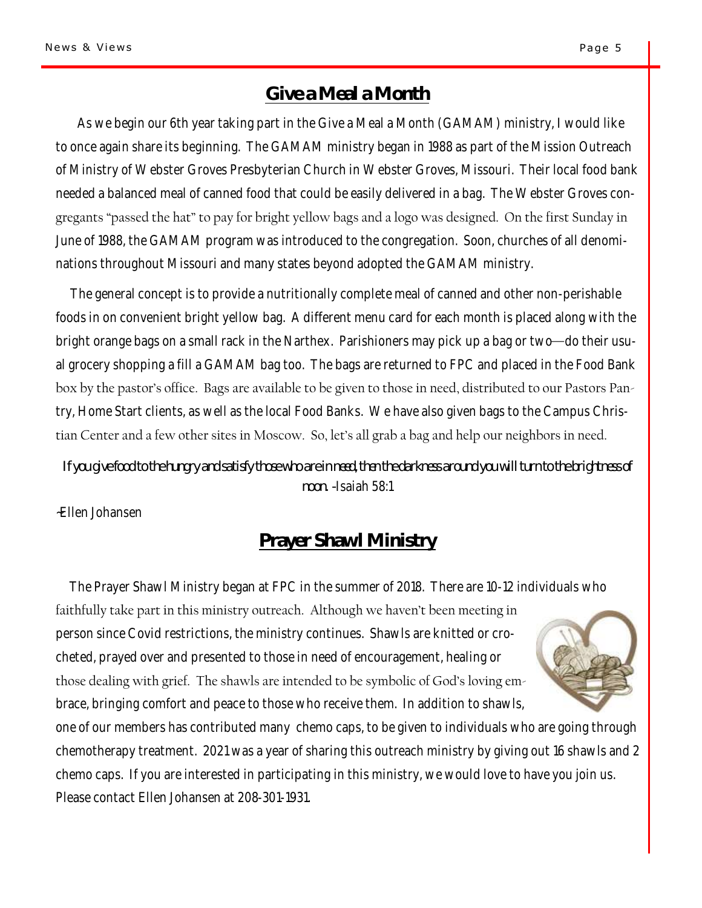# **Give a Meal a Month**

As we begin our 6th year taking part in the Give a Meal a Month (GAMAM) ministry, I would like to once again share its beginning. The GAMAM ministry began in 1988 as part of the Mission Outreach of Ministry of Webster Groves Presbyterian Church in Webster Groves, Missouri. Their local food bank needed a balanced meal of canned food that could be easily delivered in a bag. The Webster Groves congregants "passed the hat" to pay for bright yellow bags and a logo was designed. On the first Sunday in June of 1988, the GAMAM program was introduced to the congregation. Soon, churches of all denominations throughout Missouri and many states beyond adopted the GAMAM ministry.

 The general concept is to provide a nutritionally complete meal of canned and other non-perishable foods in on convenient bright yellow bag. A different menu card for each month is placed along with the bright orange bags on a small rack in the Narthex. Parishioners may pick up a bag or two—do their usual grocery shopping a fill a GAMAM bag too. The bags are returned to FPC and placed in the Food Bank box by the pastor's office. Bags are available to be given to those in need, distributed to our Pastors Pantry, Home Start clients, as well as the local Food Banks. We have also given bags to the Campus Christian Center and a few other sites in Moscow. So, let's all grab a bag and help our neighbors in need.

*If you give food to the hungry and satisfy those who are in need, then the darkness around you will turn to the brightness of noon. -*Isaiah 58:1

~Ellen Johansen

# **Prayer Shawl Ministry**

The Prayer Shawl Ministry began at FPC in the summer of 2018. There are 10-12 individuals who

faithfully take part in this ministry outreach. Although we haven't been meeting in person since Covid restrictions, the ministry continues. Shawls are knitted or crocheted, prayed over and presented to those in need of encouragement, healing or those dealing with grief. The shawls are intended to be symbolic of God's loving embrace, bringing comfort and peace to those who receive them. In addition to shawls,



one of our members has contributed many chemo caps, to be given to individuals who are going through chemotherapy treatment. 2021 was a year of sharing this outreach ministry by giving out 16 shawls and 2 chemo caps. If you are interested in participating in this ministry, we would love to have you join us. Please contact Ellen Johansen at 208-301-1931.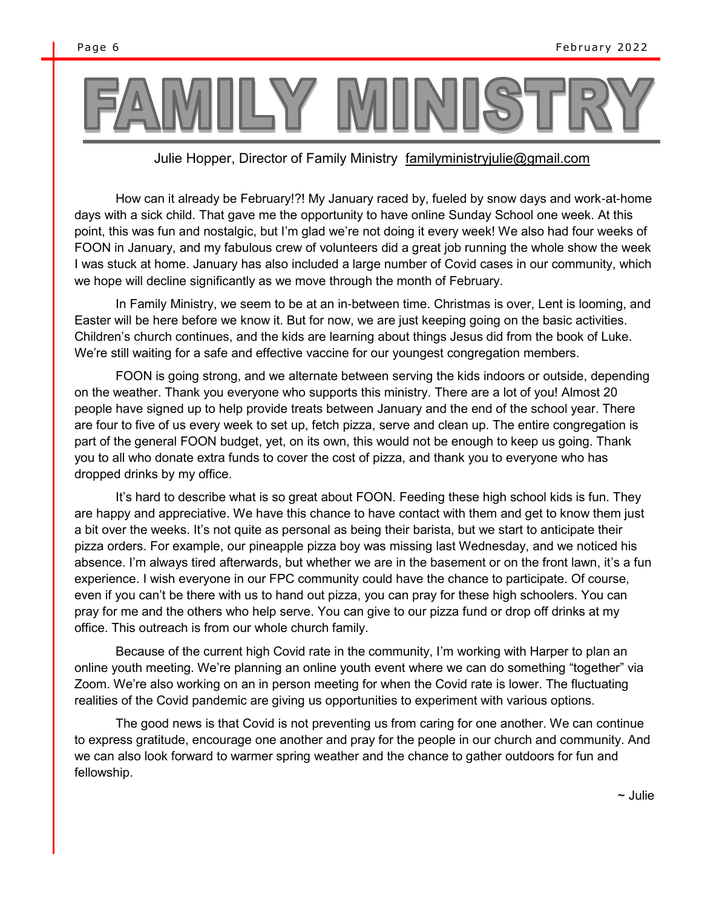#### Julie Hopper, Director of Family Ministry familyministryjulie@gmail.com

How can it already be February!?! My January raced by, fueled by snow days and work-at-home days with a sick child. That gave me the opportunity to have online Sunday School one week. At this point, this was fun and nostalgic, but I'm glad we're not doing it every week! We also had four weeks of FOON in January, and my fabulous crew of volunteers did a great job running the whole show the week I was stuck at home. January has also included a large number of Covid cases in our community, which we hope will decline significantly as we move through the month of February.

In Family Ministry, we seem to be at an in-between time. Christmas is over, Lent is looming, and Easter will be here before we know it. But for now, we are just keeping going on the basic activities. Children's church continues, and the kids are learning about things Jesus did from the book of Luke. We're still waiting for a safe and effective vaccine for our youngest congregation members.

FOON is going strong, and we alternate between serving the kids indoors or outside, depending on the weather. Thank you everyone who supports this ministry. There are a lot of you! Almost 20 people have signed up to help provide treats between January and the end of the school year. There are four to five of us every week to set up, fetch pizza, serve and clean up. The entire congregation is part of the general FOON budget, yet, on its own, this would not be enough to keep us going. Thank you to all who donate extra funds to cover the cost of pizza, and thank you to everyone who has dropped drinks by my office.

It's hard to describe what is so great about FOON. Feeding these high school kids is fun. They are happy and appreciative. We have this chance to have contact with them and get to know them just a bit over the weeks. It's not quite as personal as being their barista, but we start to anticipate their pizza orders. For example, our pineapple pizza boy was missing last Wednesday, and we noticed his absence. I'm always tired afterwards, but whether we are in the basement or on the front lawn, it's a fun experience. I wish everyone in our FPC community could have the chance to participate. Of course, even if you can't be there with us to hand out pizza, you can pray for these high schoolers. You can pray for me and the others who help serve. You can give to our pizza fund or drop off drinks at my office. This outreach is from our whole church family.

Because of the current high Covid rate in the community, I'm working with Harper to plan an online youth meeting. We're planning an online youth event where we can do something "together" via Zoom. We're also working on an in person meeting for when the Covid rate is lower. The fluctuating realities of the Covid pandemic are giving us opportunities to experiment with various options.

The good news is that Covid is not preventing us from caring for one another. We can continue to express gratitude, encourage one another and pray for the people in our church and community. And we can also look forward to warmer spring weather and the chance to gather outdoors for fun and fellowship.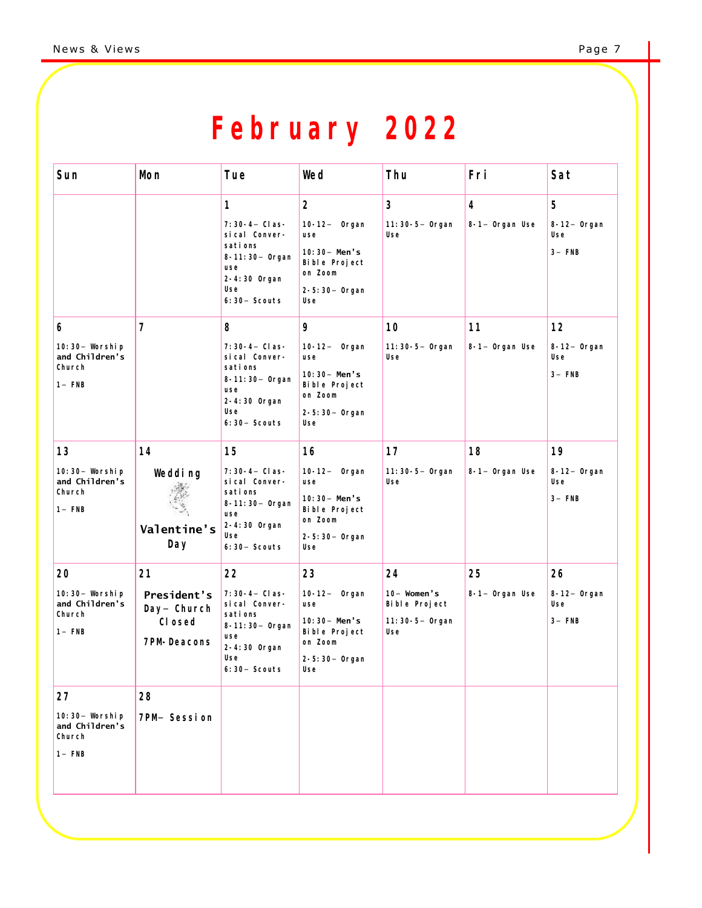# **February 2022**

| Sun                                                                  | Mon                                                              | Tue                                                                                                                                                                                                                                        | Wed                                                                                                                                                                                                              | Thu                                                            | Fri                                                      | Sat                                                                             |
|----------------------------------------------------------------------|------------------------------------------------------------------|--------------------------------------------------------------------------------------------------------------------------------------------------------------------------------------------------------------------------------------------|------------------------------------------------------------------------------------------------------------------------------------------------------------------------------------------------------------------|----------------------------------------------------------------|----------------------------------------------------------|---------------------------------------------------------------------------------|
| 6<br>10: 30- Worship<br>and Children's<br>Church<br>$1 - FNB$        | $\overline{7}$                                                   | 1<br>7: 30-4- Clas-<br>si cal Conver-<br>sati ons<br>8-11:30- Organ<br>use<br>2-4:30 Organ<br>Use<br>$6:30-$ Scouts<br>8<br>7: 30-4- Clas-<br>si cal Conver-<br>sati ons<br>8-11:30- Organ<br>use<br>2-4:30 Organ<br>Use<br>$6:30-$ Scouts | $\overline{2}$<br>10-12- Organ<br>use<br>10: $30 -$ Men's<br>Bible Project<br>on Zoom<br>2-5:30- Organ<br>Use<br>9<br>$10-12-$ Organ<br>use<br>10: 30- Men's<br>Bible Project<br>on Zoom<br>2-5:30- Organ<br>Use | 3<br>11:30-5- Organ<br>Use<br>10<br>11: 30-5- Organ<br>Use     | $\overline{4}$<br>8-1- Organ Use<br>11<br>8-1- Organ Use | 5<br>$8-12-$ Organ<br>Use<br>$3-$ FNB<br>12<br>$8-12-$ Organ<br>Use<br>$3-$ FNB |
| 13<br>10: 30- Worship<br>and Children's<br>Church<br>$1 - FNB$       | 14<br>Wedding<br>Valentine's<br>Day                              | 15<br>7: 30-4- Clas-<br>si cal Conver-<br>sati ons<br>8-11:30- Organ<br>use<br>2-4:30 Organ<br>Use<br>$6:30-$ Scouts                                                                                                                       | 16<br>10-12- Organ<br>use<br>10: 30- Men's<br>Bible Project<br>on Zoom<br>2-5:30- Organ<br>Use                                                                                                                   | 17<br>11: 30-5- Organ<br>Use                                   | 18<br>8-1- Organ Use                                     | 19<br>$8-12-$ Organ<br>Use<br>$3-$ FNB                                          |
| 20<br>10: 30- Worship<br>and Children's<br>Church<br>$1 - FNB$<br>27 | 21<br>President's<br>Day- Church<br>CI osed<br>7PM-Deacons<br>28 | 22<br>7: 30-4- Clas-<br>si cal Conver-<br>sati ons<br>8-11:30- Organ<br>use<br>2-4:30 Organ<br>Use<br>$6:30-$ Scouts                                                                                                                       | 23<br>10-12- Organ<br>use<br>10: 30- Men's<br>Bible Project<br>on Zoom<br>2-5:30- Organ<br>Use                                                                                                                   | 24<br>$10-$ Women's<br>Bible Project<br>11: 30-5- Organ<br>Use | 25<br>8-1- Organ Use                                     | 26<br>$8-12-$ Organ<br>Use<br>$3-$ FNB                                          |
| 10:30- Worship<br>and Children's<br>Church<br>$1 - FNB$              | 7PM- Session                                                     |                                                                                                                                                                                                                                            |                                                                                                                                                                                                                  |                                                                |                                                          |                                                                                 |